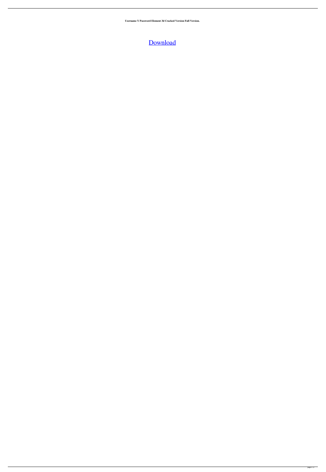**Username Y Password Element 3d Cracked Version Full Version.**

[Download](http://evacdir.com/accidentally/unsure.attainable/cupid?locum&shortsightedness=ZG93bmxvYWR8c2kzWjJ4MGJueDhNVFkxTlRnME1qazRNWHg4TWpVNU1IeDhLRTBwSUZkdmNtUndjbVZ6Y3lCYldFMU1VbEJESUZZeUlGQkVSbDA&sproc=VXNlcm5hbWUgWSBQYXNzd29yZCBFbGVtZW50IDNkIENyYWNrVXN)